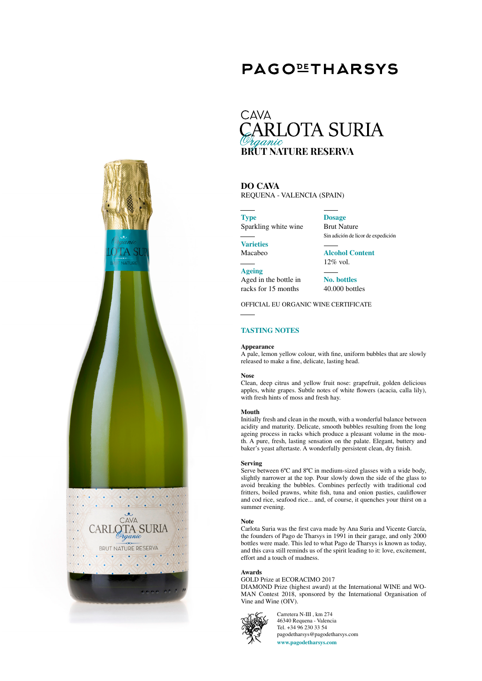# **PAGOLIHARSYS**

# **CAVA ARLOTA SURIA BRUT NATURE RESERVA**

## **DO CAVA** REQUENA - VALENCIA (SPAIN)

**Type** Sparkling white wine

**Dosage** Brut Nature Sin adición de licor de expedición

**Varieties** Macabeo

**Ageing**

**Alcohol Content** 12% vol.

Aged in the bottle in racks for 15 months **No. bottles**

40.000 bottles

OFFICIAL EU ORGANIC WINE CERTIFICATE

# **TASTING NOTES**

### **Appearance**

A pale, lemon yellow colour, with fine, uniform bubbles that are slowly released to make a fine, delicate, lasting head.

### **Nose**

Clean, deep citrus and yellow fruit nose: grapefruit, golden delicious apples, white grapes. Subtle notes of white flowers (acacia, calla lily), with fresh hints of moss and fresh hay.

### **Mouth**

Initially fresh and clean in the mouth, with a wonderful balance between acidity and maturity. Delicate, smooth bubbles resulting from the long ageing process in racks which produce a pleasant volume in the mouth. A pure, fresh, lasting sensation on the palate. Elegant, buttery and baker's yeast aftertaste. A wonderfully persistent clean, dry finish.

#### **Serving**

Serve between 6°C and 8°C in medium-sized glasses with a wide body, slightly narrower at the top. Pour slowly down the side of the glass to avoid breaking the bubbles. Combines perfectly with traditional cod fritters, boiled prawns, white fish, tuna and onion pasties, cauliflower and cod rice, seafood rice... and, of course, it quenches your thirst on a summer evening.

#### **Note**

Carlota Suria was the first cava made by Ana Suria and Vicente García, the founders of Pago de Tharsys in 1991 in their garage, and only 2000 bottles were made. This led to what Pago de Tharsys is known as today, and this cava still reminds us of the spirit leading to it: love, excitement, effort and a touch of madness.

#### **Awards**

## GOLD Prize at ECORACIMO 2017

DIAMOND Prize (highest award) at the International WINE and WO-MAN Contest 2018, sponsored by the International Organisation of Vine and Wine (OIV).



Carretera N-III , km 274 46340 Requena - Valencia Tel. +34 96 230 33 54 pagodetharsys@pagodetharsys.com **www.pagodetharsys.com**